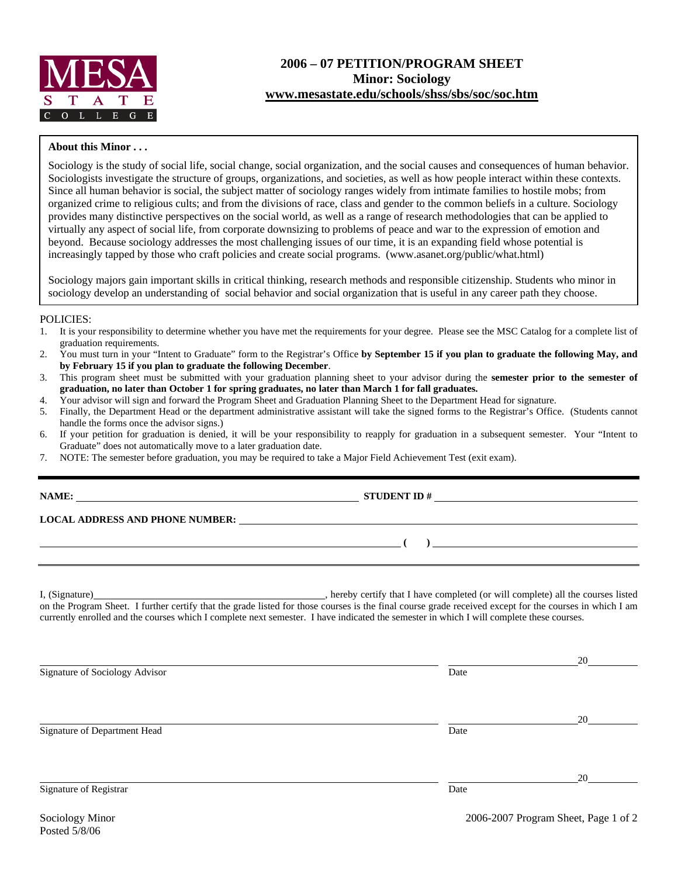

## **2006 – 07 PETITION/PROGRAM SHEET Minor: Sociology [www.mesastate.edu/schools/shss/sbs/soc/soc.htm](http://www.mesastate.edu/schools/shss/sbs/soc/soc.htm)**

## **About this Minor . . .**

Sociology is the study of social life, social change, social organization, and the social causes and consequences of human behavior. Sociologists investigate the structure of groups, organizations, and societies, as well as how people interact within these contexts. Since all human behavior is social, the subject matter of sociology ranges widely from intimate families to hostile mobs; from organized crime to religious cults; and from the divisions of race, class and gender to the common beliefs in a culture. Sociology provides many distinctive perspectives on the social world, as well as a range of research methodologies that can be applied to virtually any aspect of social life, from corporate downsizing to problems of peace and war to the expression of emotion and beyond. Because sociology addresses the most challenging issues of our time, it is an expanding field whose potential is increasingly tapped by those who craft policies and create social programs. (www.asanet.org/public/what.html)

Sociology majors gain important skills in critical thinking, research methods and responsible citizenship. Students who minor in sociology develop an understanding of social behavior and social organization that is useful in any career path they choose.

## POLICIES:

- 1. It is your responsibility to determine whether you have met the requirements for your degree. Please see the MSC Catalog for a complete list of graduation requirements.
- 2. You must turn in your "Intent to Graduate" form to the Registrar's Office **by September 15 if you plan to graduate the following May, and by February 15 if you plan to graduate the following December**.
- 3. This program sheet must be submitted with your graduation planning sheet to your advisor during the **semester prior to the semester of graduation, no later than October 1 for spring graduates, no later than March 1 for fall graduates.**
- 4. Your advisor will sign and forward the Program Sheet and Graduation Planning Sheet to the Department Head for signature.
- 5. Finally, the Department Head or the department administrative assistant will take the signed forms to the Registrar's Office. (Students cannot handle the forms once the advisor signs.)
- 6. If your petition for graduation is denied, it will be your responsibility to reapply for graduation in a subsequent semester. Your "Intent to Graduate" does not automatically move to a later graduation date.

**NAMES IN STUDENT ID #** <u>NAMES IS NOT THE STUDENT ID #</u>

7. NOTE: The semester before graduation, you may be required to take a Major Field Achievement Test (exit exam).

| NAME: |  |
|-------|--|
|       |  |

**LOCAL ADDRESS AND PHONE NUMBER:**

I, (Signature) , hereby certify that I have completed (or will complete) all the courses listed on the Program Sheet. I further certify that the grade listed for those courses is the final course grade received except for the courses in which I am currently enrolled and the courses which I complete next semester. I have indicated the semester in which I will complete these courses.

|                                |      | 20 |
|--------------------------------|------|----|
| Signature of Sociology Advisor | Date |    |
|                                |      | 20 |
| Signature of Department Head   | Date |    |
|                                |      | 20 |
| Signature of Registrar         | Date |    |

 **( )**